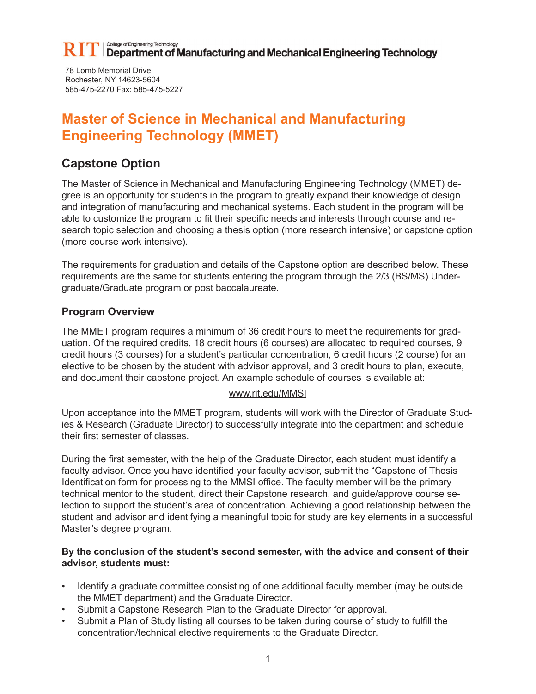78 Lomb Memorial Drive Rochester, NY 14623-5604 585-475-2270 Fax: 585-475-5227

# **Master of Science in Mechanical and Manufacturing Engineering Technology (MMET)**

## **Capstone Option**

The Master of Science in Mechanical and Manufacturing Engineering Technology (MMET) degree is an opportunity for students in the program to greatly expand their knowledge of design and integration of manufacturing and mechanical systems. Each student in the program will be able to customize the program to fit their specific needs and interests through course and research topic selection and choosing a thesis option (more research intensive) or capstone option (more course work intensive).

The requirements for graduation and details of the Capstone option are described below. These requirements are the same for students entering the program through the 2/3 (BS/MS) Undergraduate/Graduate program or post baccalaureate.

### **Program Overview**

The MMET program requires a minimum of 36 credit hours to meet the requirements for graduation. Of the required credits, 18 credit hours (6 courses) are allocated to required courses, 9 credit hours (3 courses) for a student's particular concentration, 6 credit hours (2 course) for an elective to be chosen by the student with advisor approval, and 3 credit hours to plan, execute, and document their capstone project. An example schedule of courses is available at:

#### www.rit.edu/MMSI

Upon acceptance into the MMET program, students will work with the Director of Graduate Studies & Research (Graduate Director) to successfully integrate into the department and schedule their first semester of classes.

During the first semester, with the help of the Graduate Director, each student must identify a faculty advisor. Once you have identified your faculty advisor, submit the "Capstone of Thesis Identification form for processing to the MMSI office. The faculty member will be the primary technical mentor to the student, direct their Capstone research, and guide/approve course selection to support the student's area of concentration. Achieving a good relationship between the student and advisor and identifying a meaningful topic for study are key elements in a successful Master's degree program.

#### **By the conclusion of the student's second semester, with the advice and consent of their advisor, students must:**

- Identify a graduate committee consisting of one additional faculty member (may be outside the MMET department) and the Graduate Director.
- Submit a Capstone Research Plan to the Graduate Director for approval.
- Submit a Plan of Study listing all courses to be taken during course of study to fulfill the concentration/technical elective requirements to the Graduate Director.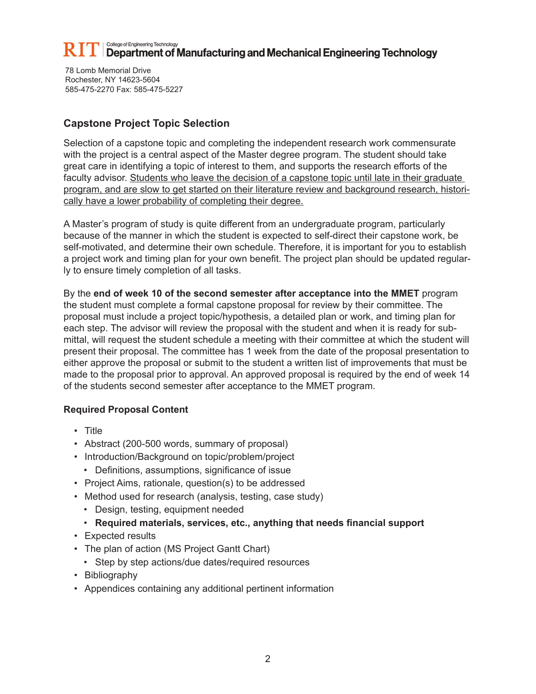78 Lomb Memorial Drive Rochester, NY 14623-5604 585-475-2270 Fax: 585-475-5227

### **Capstone Project Topic Selection**

Selection of a capstone topic and completing the independent research work commensurate with the project is a central aspect of the Master degree program. The student should take great care in identifying a topic of interest to them, and supports the research efforts of the faculty advisor. Students who leave the decision of a capstone topic until late in their graduate program, and are slow to get started on their literature review and background research, historically have a lower probability of completing their degree.

A Master's program of study is quite different from an undergraduate program, particularly because of the manner in which the student is expected to self-direct their capstone work, be self-motivated, and determine their own schedule. Therefore, it is important for you to establish a project work and timing plan for your own benefit. The project plan should be updated regularly to ensure timely completion of all tasks.

By the **end of week 10 of the second semester after acceptance into the MMET** program the student must complete a formal capstone proposal for review by their committee. The proposal must include a project topic/hypothesis, a detailed plan or work, and timing plan for each step. The advisor will review the proposal with the student and when it is ready for submittal, will request the student schedule a meeting with their committee at which the student will present their proposal. The committee has 1 week from the date of the proposal presentation to either approve the proposal or submit to the student a written list of improvements that must be made to the proposal prior to approval. An approved proposal is required by the end of week 14 of the students second semester after acceptance to the MMET program.

### **Required Proposal Content**

- Title
- Abstract (200-500 words, summary of proposal)
- Introduction/Background on topic/problem/project
	- Definitions, assumptions, significance of issue
- Project Aims, rationale, question(s) to be addressed
- Method used for research (analysis, testing, case study)
	- Design, testing, equipment needed

#### • **Required materials, services, etc., anything that needs financial support**

- Expected results
- The plan of action (MS Project Gantt Chart)
- Step by step actions/due dates/required resources
- Bibliography
- Appendices containing any additional pertinent information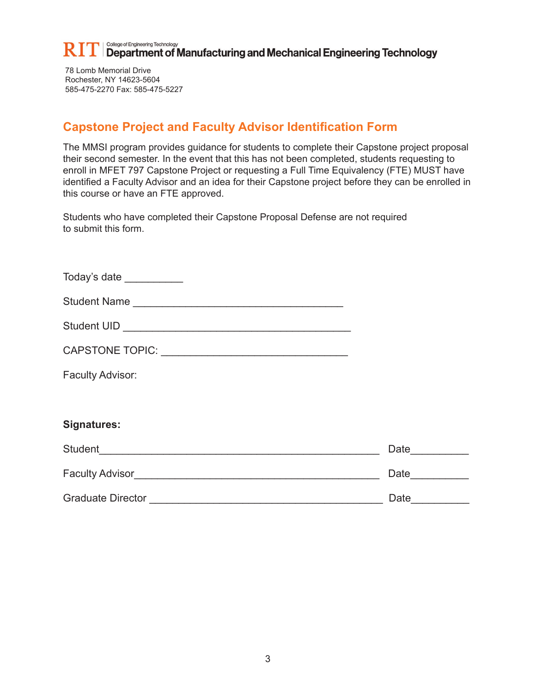78 Lomb Memorial Drive Rochester, NY 14623-5604 585-475-2270 Fax: 585-475-5227

## **Capstone Project and Faculty Advisor Identification Form**

The MMSI program provides guidance for students to complete their Capstone project proposal their second semester. In the event that this has not been completed, students requesting to enroll in MFET 797 Capstone Project or requesting a Full Time Equivalency (FTE) MUST have identified a Faculty Advisor and an idea for their Capstone project before they can be enrolled in this course or have an FTE approved.

Students who have completed their Capstone Proposal Defense are not required to submit this form.

| Today's date ___________ |       |
|--------------------------|-------|
| Student Name             |       |
|                          |       |
|                          |       |
| Faculty Advisor:         |       |
|                          |       |
| <b>Signatures:</b>       |       |
|                          | Date_ |
| Faculty Advisor          | Date_ |
| <b>Graduate Director</b> | Date  |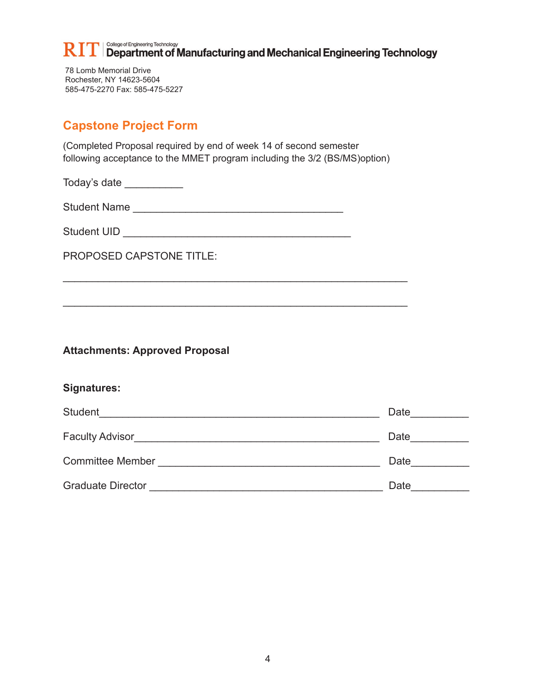#### College of Engineering Technology  $\left\| \text{T} \right\|$  Department of Manufacturing and Mechanical Engineering Technology

78 Lomb Memorial Drive Rochester, NY 14623-5604 585-475-2270 Fax: 585-475-5227

## **Capstone Project Form**

(Completed Proposal required by end of week 14 of second semester following acceptance to the MMET program including the 3/2 (BS/MS)option)

 $\frac{1}{2}$  ,  $\frac{1}{2}$  ,  $\frac{1}{2}$  ,  $\frac{1}{2}$  ,  $\frac{1}{2}$  ,  $\frac{1}{2}$  ,  $\frac{1}{2}$  ,  $\frac{1}{2}$  ,  $\frac{1}{2}$  ,  $\frac{1}{2}$  ,  $\frac{1}{2}$  ,  $\frac{1}{2}$  ,  $\frac{1}{2}$  ,  $\frac{1}{2}$  ,  $\frac{1}{2}$  ,  $\frac{1}{2}$  ,  $\frac{1}{2}$  ,  $\frac{1}{2}$  ,  $\frac{1$ 

 $\frac{1}{2}$  ,  $\frac{1}{2}$  ,  $\frac{1}{2}$  ,  $\frac{1}{2}$  ,  $\frac{1}{2}$  ,  $\frac{1}{2}$  ,  $\frac{1}{2}$  ,  $\frac{1}{2}$  ,  $\frac{1}{2}$  ,  $\frac{1}{2}$  ,  $\frac{1}{2}$  ,  $\frac{1}{2}$  ,  $\frac{1}{2}$  ,  $\frac{1}{2}$  ,  $\frac{1}{2}$  ,  $\frac{1}{2}$  ,  $\frac{1}{2}$  ,  $\frac{1}{2}$  ,  $\frac{1$ 

Today's date \_\_\_\_\_\_\_\_\_\_

Student Name \_\_\_\_\_\_\_\_\_\_\_\_\_\_\_\_\_\_\_\_\_\_\_\_\_\_\_\_\_\_\_\_\_\_\_\_

Student UID **Example 20** and 20 and 20 and 20 and 20 and 20 and 20 and 20 and 20 and 20 and 20 and 20 and 20 and 20 and 20 and 20 and 20 and 20 and 20 and 20 and 20 and 20 and 20 and 20 and 20 and 20 and 20 and 20 and 20 a

PROPOSED CAPSTONE TITLE:

**Attachments: Approved Proposal**

### **Signatures:**

| Student                  | Date |
|--------------------------|------|
| Faculty Advisor          | Date |
| <b>Committee Member</b>  | Date |
| <b>Graduate Director</b> | Date |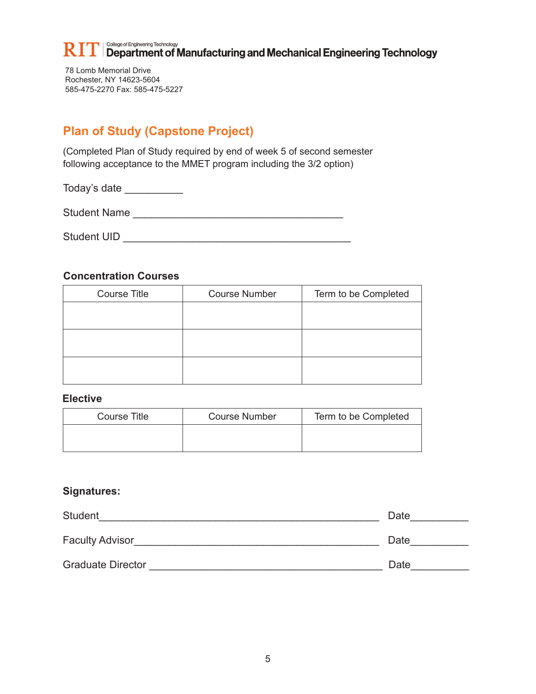78 Lomb Memorial Drive Rochester, NY 14623-5604 585-475-2270 Fax: 585-475-5227

## **Plan of Study (Capstone Project)**

(Completed Plan of Study required by end of week 5 of second semester following acceptance to the MMET program including the 3/2 option)

Today's date \_\_\_\_\_\_\_\_\_\_

Student Name \_\_\_\_\_\_\_\_\_\_\_\_\_\_\_\_\_\_\_\_\_\_\_\_\_\_\_\_\_\_\_\_\_\_\_\_

Student UID \_\_\_\_\_\_\_\_\_\_\_\_\_\_\_\_\_\_\_\_\_\_\_\_\_\_\_\_\_\_\_\_\_\_\_\_\_\_\_

#### **Concentration Courses**

| <b>Course Title</b> | <b>Course Number</b> | Term to be Completed |
|---------------------|----------------------|----------------------|
|                     |                      |                      |
|                     |                      |                      |
|                     |                      |                      |
|                     |                      |                      |
|                     |                      |                      |
|                     |                      |                      |

#### **Elective**

| Course Title | <b>Course Number</b> | Term to be Completed |
|--------------|----------------------|----------------------|
|              |                      |                      |

#### **Signatures:**

| <b>Student</b>           | Date |
|--------------------------|------|
| Faculty Advisor          | Date |
| <b>Graduate Director</b> | Date |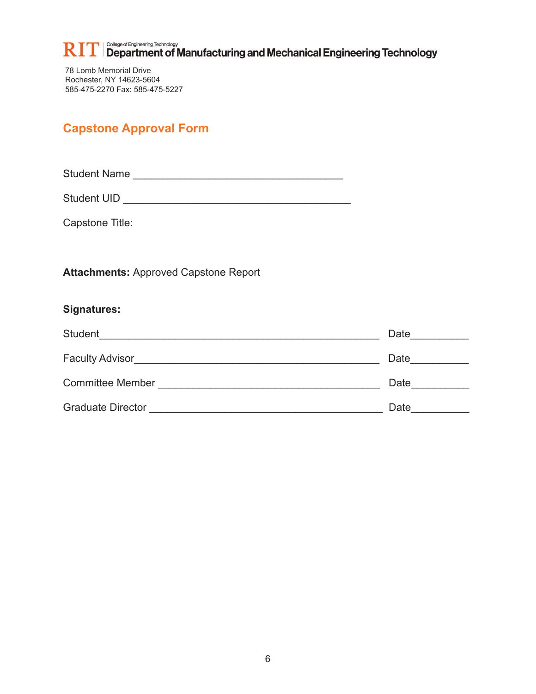$\prod \prod_{\text{College of Engineering Technology}}$  Department of Manufacturing and Mechanical Engineering Technology R

78 Lomb Memorial Drive Rochester, NY 14623-5604 585-475-2270 Fax: 585-475-5227

## **Capstone Approval Form**

Student Name \_\_\_\_\_\_\_\_\_\_\_\_\_\_\_\_\_\_\_\_\_\_\_\_\_\_\_\_\_\_\_\_\_\_\_\_

Student UID \_\_\_\_\_\_\_\_\_\_\_\_\_\_\_\_\_\_\_\_\_\_\_\_\_\_\_\_\_\_\_\_\_\_\_\_\_\_\_

Capstone Title:

**Attachments:** Approved Capstone Report

### **Signatures:**

| Student                  | Date |
|--------------------------|------|
| <b>Faculty Advisor</b>   | Date |
| <b>Committee Member</b>  | Date |
| <b>Graduate Director</b> | Date |